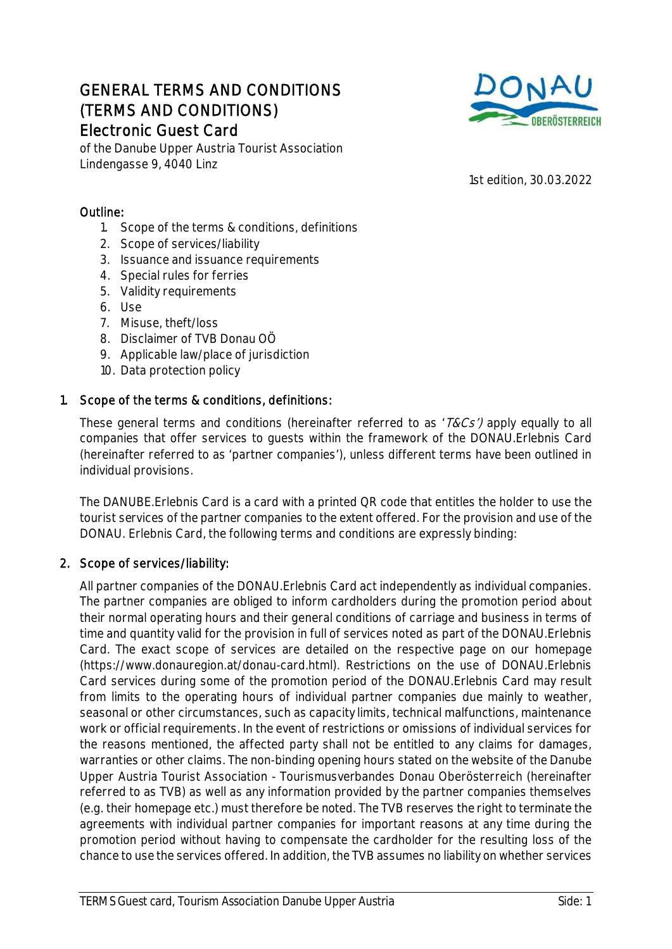# GENERAL TERMS AND CONDITIONS (TERMS AND CONDITIONS) Electronic Guest Card



of the Danube Upper Austria Tourist Association Lindengasse 9, 4040 Linz

1st edition, 30.03.2022

## Outline:

- 1. Scope of the terms & conditions, definitions
- 2. Scope of services/liability
- 3. Issuance and issuance requirements
- 4. Special rules for ferries
- 5. Validity requirements
- 6. Use
- 7. Misuse, theft/loss
- 8. Disclaimer of TVB Donau OÖ
- 9. Applicable law/place of jurisdiction
- 10. Data protection policy

## 1. Scope of the terms & conditions, definitions:

These general terms and conditions (hereinafter referred to as '*T&Cs')* apply equally to all companies that offer services to guests within the framework of the DONAU.Erlebnis Card (hereinafter referred to as 'partner companies'), unless different terms have been outlined in individual provisions.

The DANUBE.Erlebnis Card is a card with a printed QR code that entitles the holder to use the tourist services of the partner companies to the extent offered. For the provision and use of the DONAU. Erlebnis Card, the following terms and conditions are expressly binding:

## 2. Scope of services/liability:

All partner companies of the DONAU.Erlebnis Card act independently as individual companies. The partner companies are obliged to inform cardholders during the promotion period about their normal operating hours and their general conditions of carriage and business in terms of time and quantity valid for the provision in full of services noted as part of the DONAU.Erlebnis Card. The exact scope of services are detailed on the respective page on our homepage (https://www.donauregion.at/donau-card.html). Restrictions on the use of DONAU.Erlebnis Card services during some of the promotion period of the DONAU.Erlebnis Card may result from limits to the operating hours of individual partner companies due mainly to weather, seasonal or other circumstances, such as capacity limits, technical malfunctions, maintenance work or official requirements. In the event of restrictions or omissions of individual services for the reasons mentioned, the affected party shall not be entitled to any claims for damages, warranties or other claims. The non-binding opening hours stated on the website of the Danube Upper Austria Tourist Association - Tourismusverbandes Donau Oberösterreich (hereinafter referred to as TVB) as well as any information provided by the partner companies themselves (e.g. their homepage etc.) must therefore be noted. The TVB reserves the right to terminate the agreements with individual partner companies for important reasons at any time during the promotion period without having to compensate the cardholder for the resulting loss of the chance to use the services offered. In addition, the TVB assumes no liability on whether services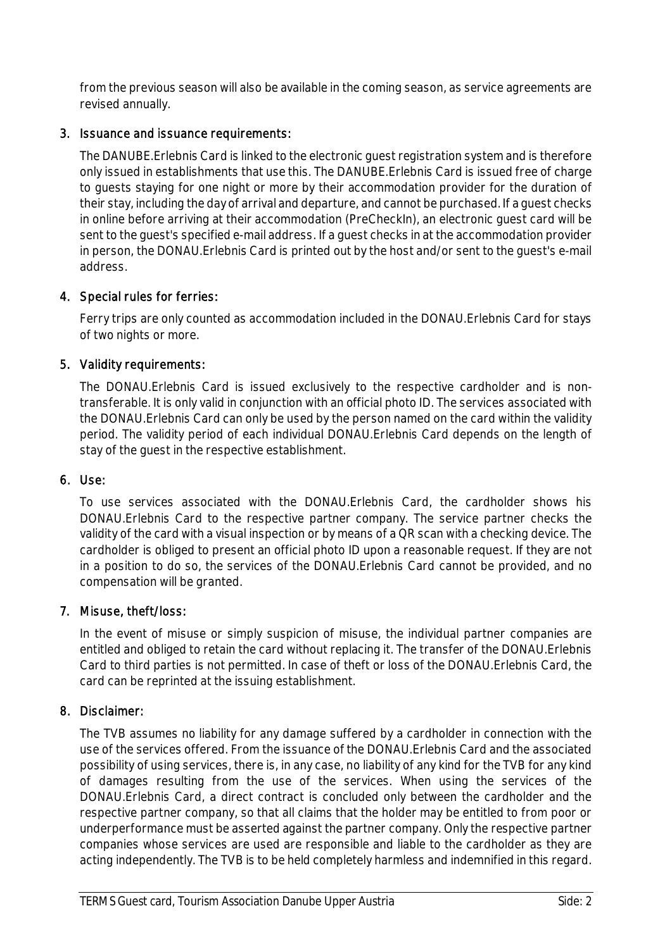from the previous season will also be available in the coming season, as service agreements are revised annually.

#### 3. Issuance and issuance requirements:

The DANUBE.Erlebnis Card is linked to the electronic guest registration system and is therefore only issued in establishments that use this. The DANUBE.Erlebnis Card is issued free of charge to guests staying for one night or more by their accommodation provider for the duration of their stay, including the day of arrival and departure, and cannot be purchased. If a guest checks in online before arriving at their accommodation (PreCheckIn), an electronic guest card will be sent to the guest's specified e-mail address. If a guest checks in at the accommodation provider in person, the DONAU.Erlebnis Card is printed out by the host and/or sent to the guest's e-mail address.

#### 4. Special rules for ferries:

Ferry trips are only counted as accommodation included in the DONAU.Erlebnis Card for stays of two nights or more.

#### 5. Validity requirements:

The DONAU.Erlebnis Card is issued exclusively to the respective cardholder and is nontransferable. It is only valid in conjunction with an official photo ID. The services associated with the DONAU.Erlebnis Card can only be used by the person named on the card within the validity period. The validity period of each individual DONAU.Erlebnis Card depends on the length of stay of the guest in the respective establishment.

## 6. Use:

To use services associated with the DONAU.Erlebnis Card, the cardholder shows his DONAU.Erlebnis Card to the respective partner company. The service partner checks the validity of the card with a visual inspection or by means of a QR scan with a checking device. The cardholder is obliged to present an official photo ID upon a reasonable request. If they are not in a position to do so, the services of the DONAU.Erlebnis Card cannot be provided, and no compensation will be granted.

## 7. Misuse, theft/loss:

In the event of misuse or simply suspicion of misuse, the individual partner companies are entitled and obliged to retain the card without replacing it. The transfer of the DONAU.Erlebnis Card to third parties is not permitted. In case of theft or loss of the DONAU.Erlebnis Card, the card can be reprinted at the issuing establishment.

## 8. Disclaimer:

The TVB assumes no liability for any damage suffered by a cardholder in connection with the use of the services offered. From the issuance of the DONAU.Erlebnis Card and the associated possibility of using services, there is, in any case, no liability of any kind for the TVB for any kind of damages resulting from the use of the services. When using the services of the DONAU.Erlebnis Card, a direct contract is concluded only between the cardholder and the respective partner company, so that all claims that the holder may be entitled to from poor or underperformance must be asserted against the partner company. Only the respective partner companies whose services are used are responsible and liable to the cardholder as they are acting independently. The TVB is to be held completely harmless and indemnified in this regard.